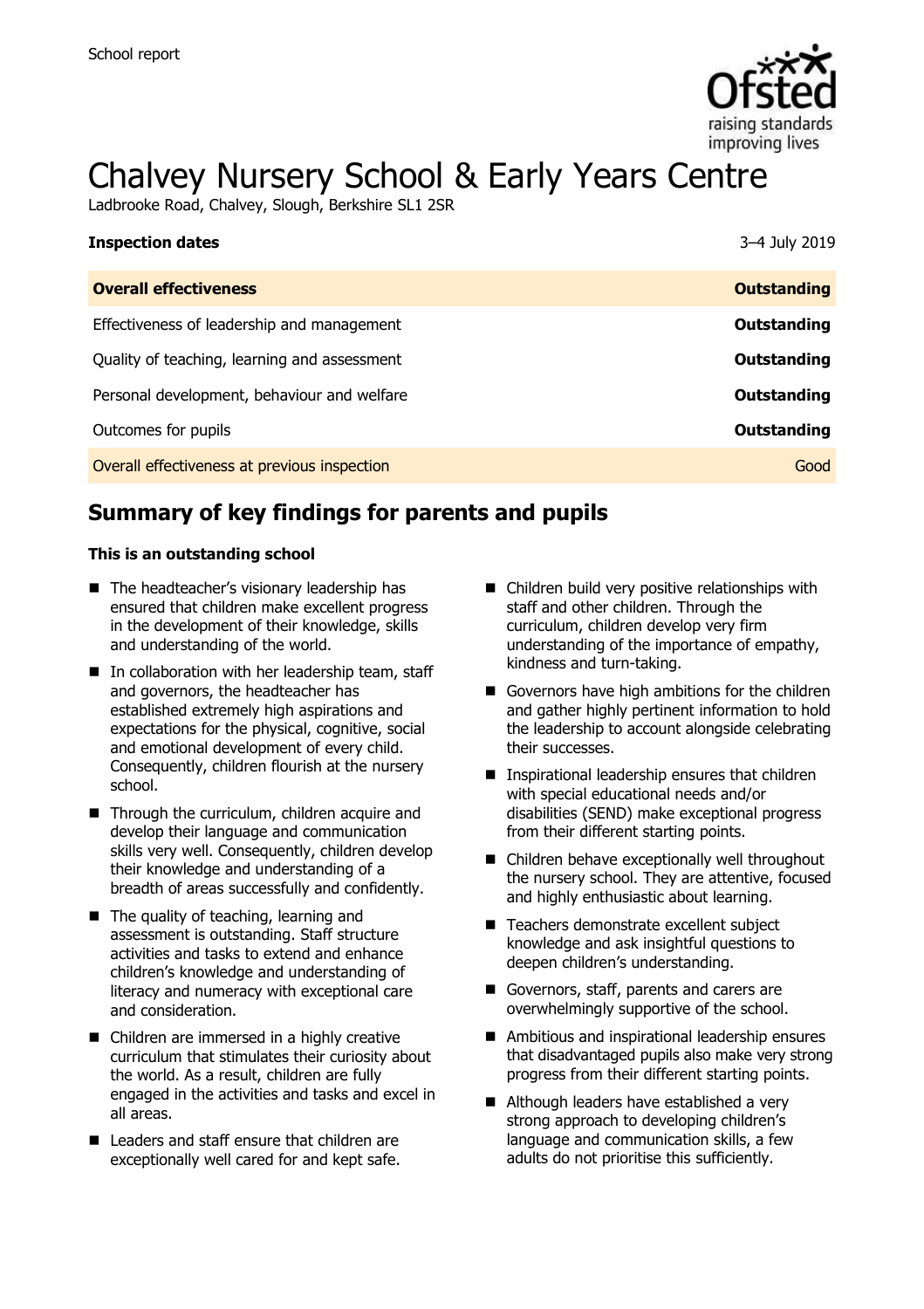

# Chalvey Nursery School & Early Years Centre

Ladbrooke Road, Chalvey, Slough, Berkshire SL1 2SR

| <b>Inspection dates</b>                      | 3-4 July 2019      |
|----------------------------------------------|--------------------|
| <b>Overall effectiveness</b>                 | <b>Outstanding</b> |
| Effectiveness of leadership and management   | Outstanding        |
| Quality of teaching, learning and assessment | Outstanding        |
| Personal development, behaviour and welfare  | Outstanding        |
| Outcomes for pupils                          | Outstanding        |
| Overall effectiveness at previous inspection | Good               |

# **Summary of key findings for parents and pupils**

### **This is an outstanding school**

- The headteacher's visionary leadership has ensured that children make excellent progress in the development of their knowledge, skills and understanding of the world.
- $\blacksquare$  In collaboration with her leadership team, staff and governors, the headteacher has established extremely high aspirations and expectations for the physical, cognitive, social and emotional development of every child. Consequently, children flourish at the nursery school.
- Through the curriculum, children acquire and develop their language and communication skills very well. Consequently, children develop their knowledge and understanding of a breadth of areas successfully and confidently.
- The quality of teaching, learning and assessment is outstanding. Staff structure activities and tasks to extend and enhance children's knowledge and understanding of literacy and numeracy with exceptional care and consideration.
- Children are immersed in a highly creative curriculum that stimulates their curiosity about the world. As a result, children are fully engaged in the activities and tasks and excel in all areas.
- Leaders and staff ensure that children are exceptionally well cared for and kept safe.
- Children build very positive relationships with staff and other children. Through the curriculum, children develop very firm understanding of the importance of empathy, kindness and turn-taking.
- Governors have high ambitions for the children and gather highly pertinent information to hold the leadership to account alongside celebrating their successes.
- Inspirational leadership ensures that children with special educational needs and/or disabilities (SEND) make exceptional progress from their different starting points.
- Children behave exceptionally well throughout the nursery school. They are attentive, focused and highly enthusiastic about learning.
- Teachers demonstrate excellent subject knowledge and ask insightful questions to deepen children's understanding.
- Governors, staff, parents and carers are overwhelmingly supportive of the school.
- Ambitious and inspirational leadership ensures that disadvantaged pupils also make very strong progress from their different starting points.
- Although leaders have established a very strong approach to developing children's language and communication skills, a few adults do not prioritise this sufficiently.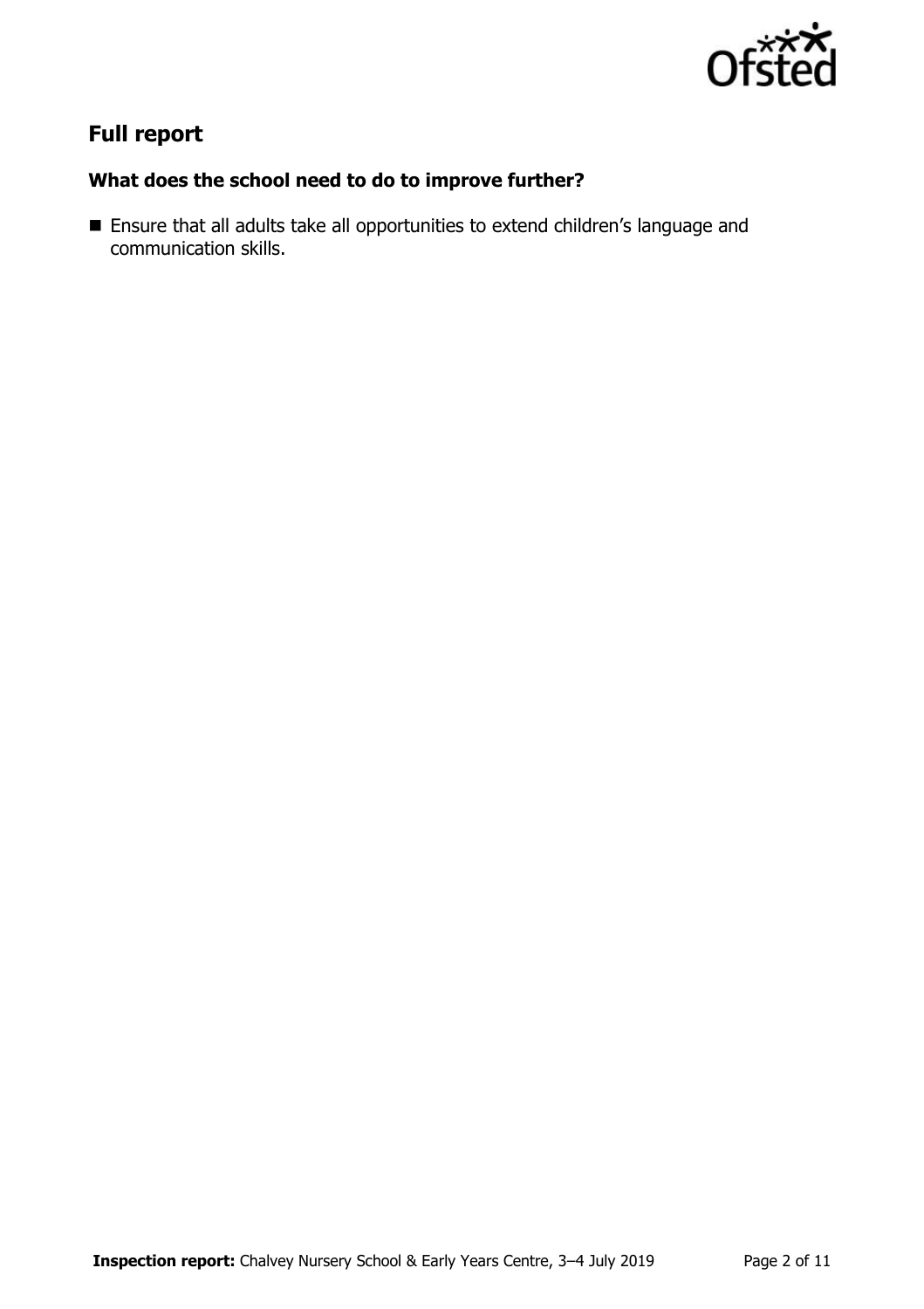

# **Full report**

### **What does the school need to do to improve further?**

 Ensure that all adults take all opportunities to extend children's language and communication skills.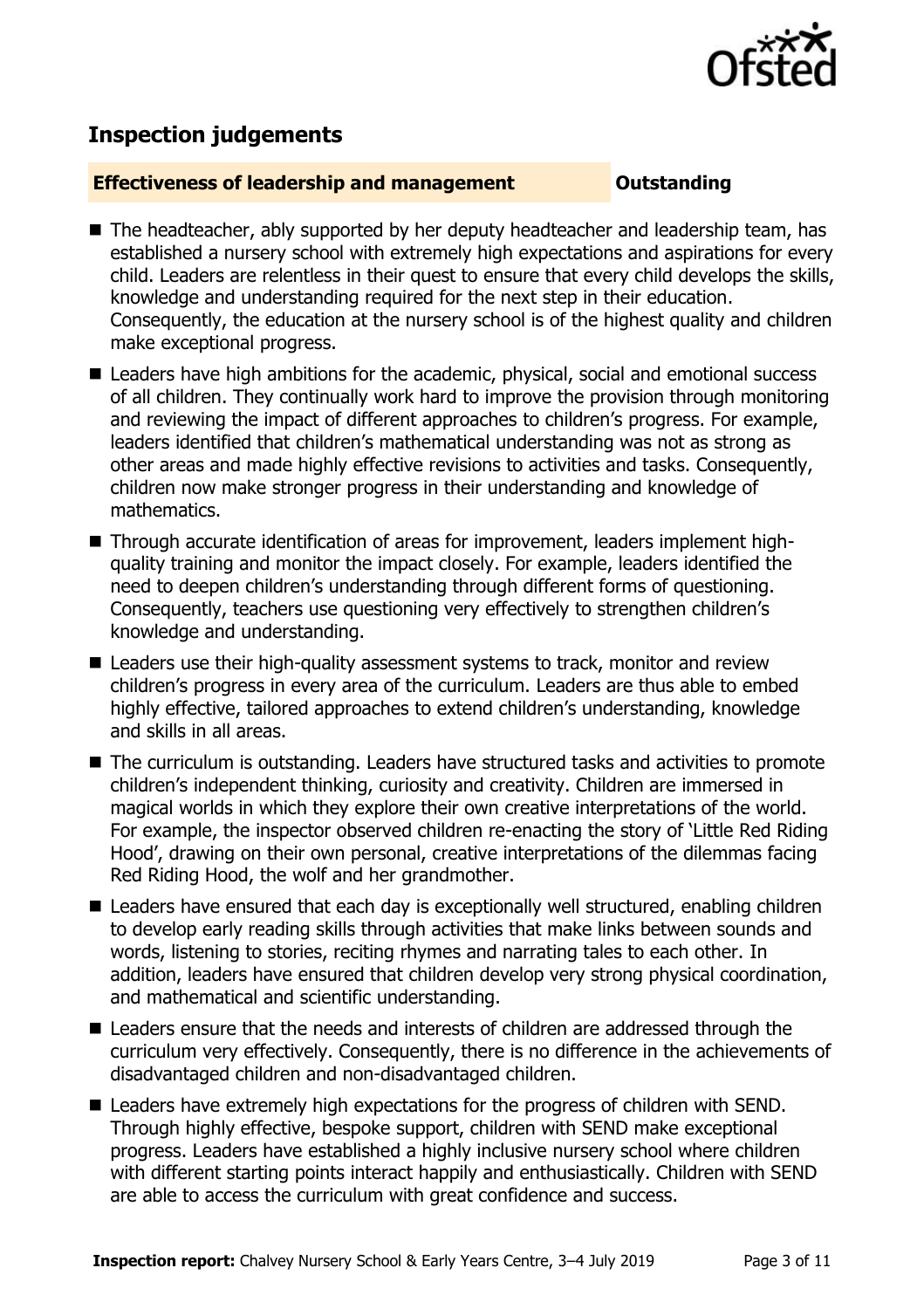

# **Inspection judgements**

### **Effectiveness of leadership and management Cultum Outstanding**

- The headteacher, ably supported by her deputy headteacher and leadership team, has established a nursery school with extremely high expectations and aspirations for every child. Leaders are relentless in their quest to ensure that every child develops the skills, knowledge and understanding required for the next step in their education. Consequently, the education at the nursery school is of the highest quality and children make exceptional progress.
- Leaders have high ambitions for the academic, physical, social and emotional success of all children. They continually work hard to improve the provision through monitoring and reviewing the impact of different approaches to children's progress. For example, leaders identified that children's mathematical understanding was not as strong as other areas and made highly effective revisions to activities and tasks. Consequently, children now make stronger progress in their understanding and knowledge of mathematics.
- Through accurate identification of areas for improvement, leaders implement highquality training and monitor the impact closely. For example, leaders identified the need to deepen children's understanding through different forms of questioning. Consequently, teachers use questioning very effectively to strengthen children's knowledge and understanding.
- Leaders use their high-quality assessment systems to track, monitor and review children's progress in every area of the curriculum. Leaders are thus able to embed highly effective, tailored approaches to extend children's understanding, knowledge and skills in all areas.
- The curriculum is outstanding. Leaders have structured tasks and activities to promote children's independent thinking, curiosity and creativity. Children are immersed in magical worlds in which they explore their own creative interpretations of the world. For example, the inspector observed children re-enacting the story of 'Little Red Riding Hood', drawing on their own personal, creative interpretations of the dilemmas facing Red Riding Hood, the wolf and her grandmother.
- Leaders have ensured that each day is exceptionally well structured, enabling children to develop early reading skills through activities that make links between sounds and words, listening to stories, reciting rhymes and narrating tales to each other. In addition, leaders have ensured that children develop very strong physical coordination, and mathematical and scientific understanding.
- Leaders ensure that the needs and interests of children are addressed through the curriculum very effectively. Consequently, there is no difference in the achievements of disadvantaged children and non-disadvantaged children.
- Leaders have extremely high expectations for the progress of children with SEND. Through highly effective, bespoke support, children with SEND make exceptional progress. Leaders have established a highly inclusive nursery school where children with different starting points interact happily and enthusiastically. Children with SEND are able to access the curriculum with great confidence and success.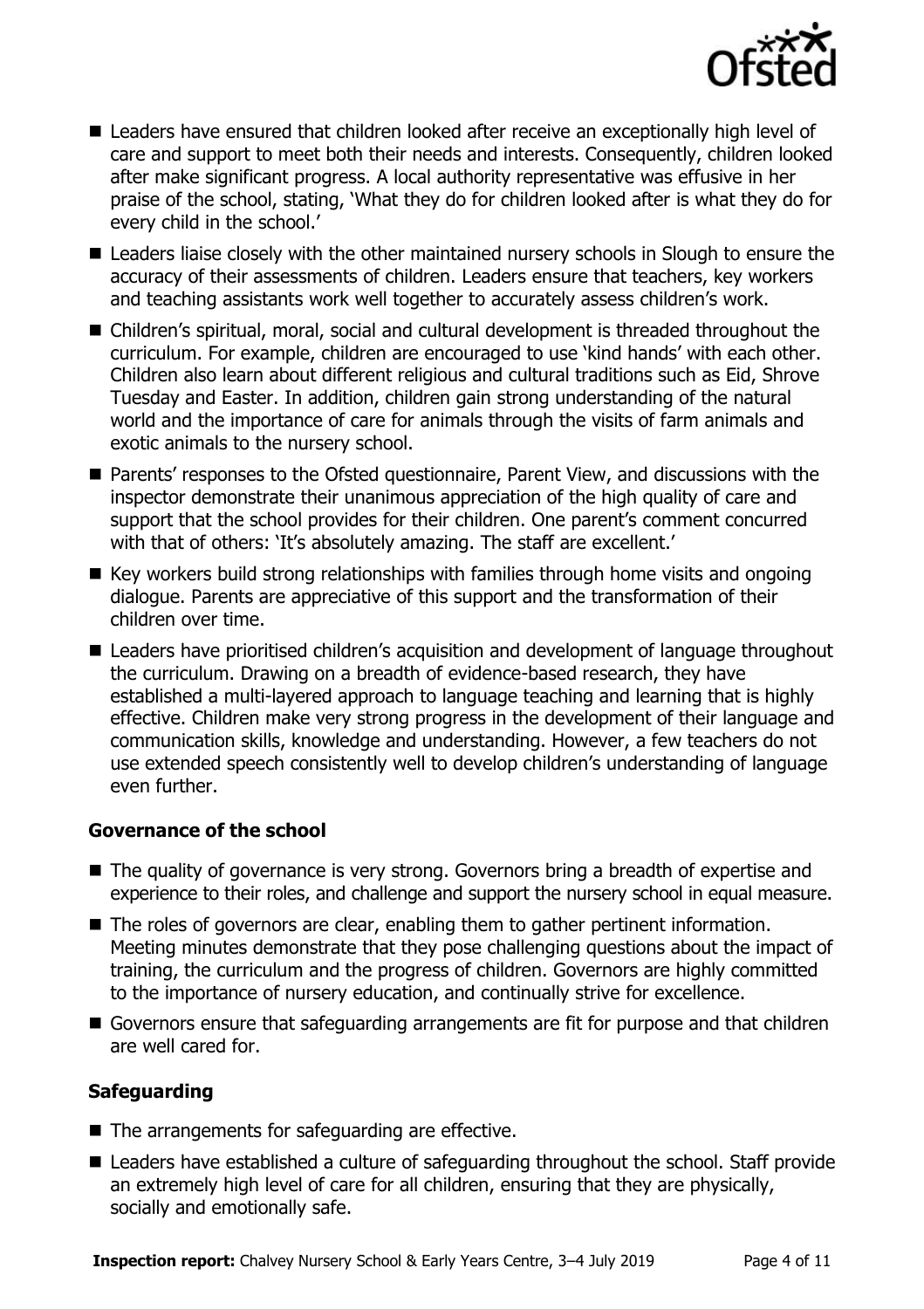

- Leaders have ensured that children looked after receive an exceptionally high level of care and support to meet both their needs and interests. Consequently, children looked after make significant progress. A local authority representative was effusive in her praise of the school, stating, 'What they do for children looked after is what they do for every child in the school.'
- Leaders liaise closely with the other maintained nursery schools in Slough to ensure the accuracy of their assessments of children. Leaders ensure that teachers, key workers and teaching assistants work well together to accurately assess children's work.
- Children's spiritual, moral, social and cultural development is threaded throughout the curriculum. For example, children are encouraged to use 'kind hands' with each other. Children also learn about different religious and cultural traditions such as Eid, Shrove Tuesday and Easter. In addition, children gain strong understanding of the natural world and the importance of care for animals through the visits of farm animals and exotic animals to the nursery school.
- Parents' responses to the Ofsted questionnaire, Parent View, and discussions with the inspector demonstrate their unanimous appreciation of the high quality of care and support that the school provides for their children. One parent's comment concurred with that of others: 'It's absolutely amazing. The staff are excellent.'
- $\blacksquare$  Key workers build strong relationships with families through home visits and ongoing dialogue. Parents are appreciative of this support and the transformation of their children over time.
- Leaders have prioritised children's acquisition and development of language throughout the curriculum. Drawing on a breadth of evidence-based research, they have established a multi-layered approach to language teaching and learning that is highly effective. Children make very strong progress in the development of their language and communication skills, knowledge and understanding. However, a few teachers do not use extended speech consistently well to develop children's understanding of language even further.

### **Governance of the school**

- The quality of governance is very strong. Governors bring a breadth of expertise and experience to their roles, and challenge and support the nursery school in equal measure.
- The roles of governors are clear, enabling them to gather pertinent information. Meeting minutes demonstrate that they pose challenging questions about the impact of training, the curriculum and the progress of children. Governors are highly committed to the importance of nursery education, and continually strive for excellence.
- Governors ensure that safeguarding arrangements are fit for purpose and that children are well cared for.

### **Safeguarding**

- $\blacksquare$  The arrangements for safeguarding are effective.
- Leaders have established a culture of safeguarding throughout the school. Staff provide an extremely high level of care for all children, ensuring that they are physically, socially and emotionally safe.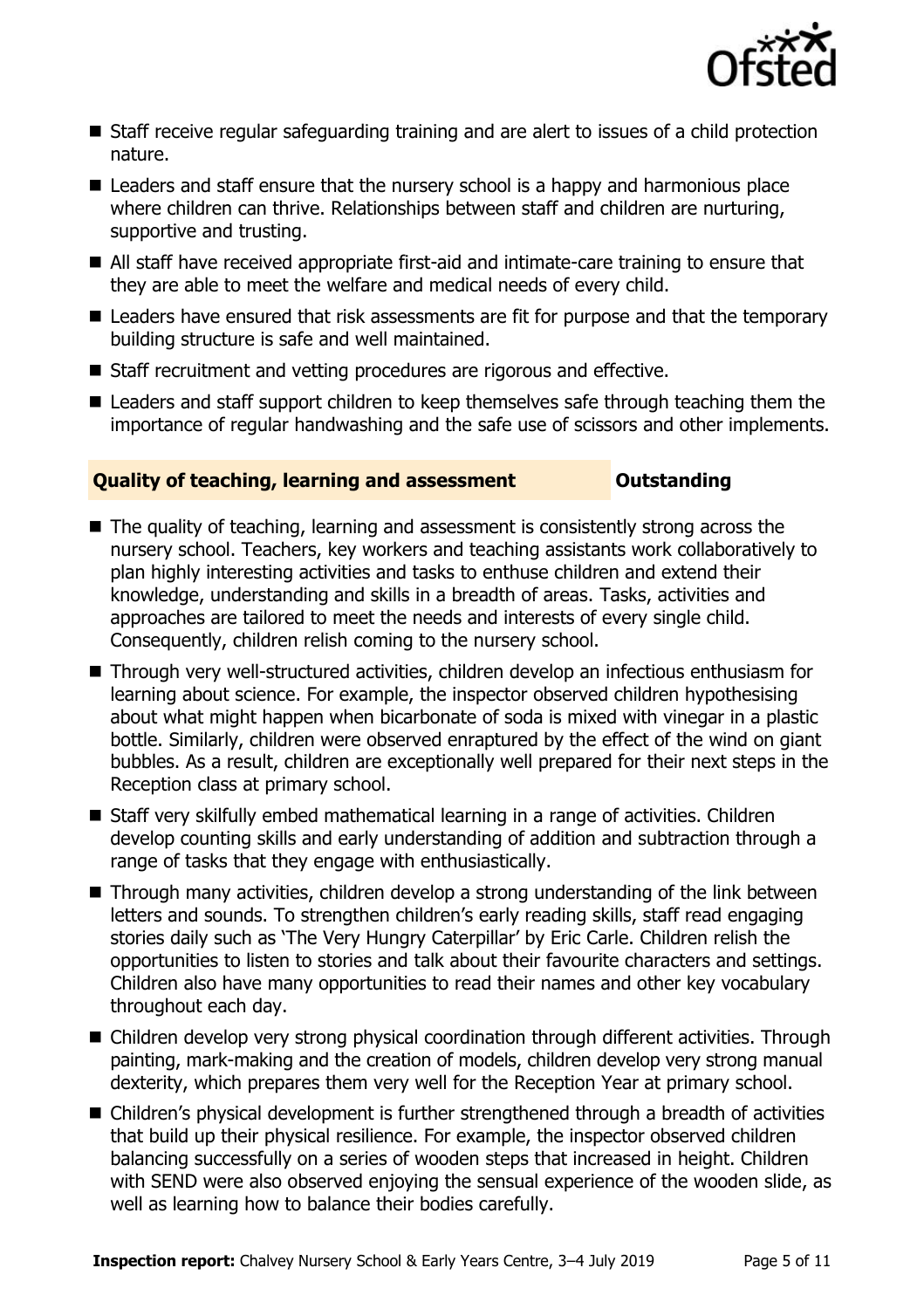

- Staff receive regular safeguarding training and are alert to issues of a child protection nature.
- Leaders and staff ensure that the nursery school is a happy and harmonious place where children can thrive. Relationships between staff and children are nurturing, supportive and trusting.
- All staff have received appropriate first-aid and intimate-care training to ensure that they are able to meet the welfare and medical needs of every child.
- Leaders have ensured that risk assessments are fit for purpose and that the temporary building structure is safe and well maintained.
- Staff recruitment and vetting procedures are rigorous and effective.
- Leaders and staff support children to keep themselves safe through teaching them the importance of regular handwashing and the safe use of scissors and other implements.

### **Quality of teaching, learning and assessment <b>Constanding**

- $\blacksquare$  The quality of teaching, learning and assessment is consistently strong across the nursery school. Teachers, key workers and teaching assistants work collaboratively to plan highly interesting activities and tasks to enthuse children and extend their knowledge, understanding and skills in a breadth of areas. Tasks, activities and approaches are tailored to meet the needs and interests of every single child. Consequently, children relish coming to the nursery school.
- Through very well-structured activities, children develop an infectious enthusiasm for learning about science. For example, the inspector observed children hypothesising about what might happen when bicarbonate of soda is mixed with vinegar in a plastic bottle. Similarly, children were observed enraptured by the effect of the wind on giant bubbles. As a result, children are exceptionally well prepared for their next steps in the Reception class at primary school.
- Staff very skilfully embed mathematical learning in a range of activities. Children develop counting skills and early understanding of addition and subtraction through a range of tasks that they engage with enthusiastically.
- Through many activities, children develop a strong understanding of the link between letters and sounds. To strengthen children's early reading skills, staff read engaging stories daily such as 'The Very Hungry Caterpillar' by Eric Carle. Children relish the opportunities to listen to stories and talk about their favourite characters and settings. Children also have many opportunities to read their names and other key vocabulary throughout each day.
- Children develop very strong physical coordination through different activities. Through painting, mark-making and the creation of models, children develop very strong manual dexterity, which prepares them very well for the Reception Year at primary school.
- Children's physical development is further strengthened through a breadth of activities that build up their physical resilience. For example, the inspector observed children balancing successfully on a series of wooden steps that increased in height. Children with SEND were also observed enjoying the sensual experience of the wooden slide, as well as learning how to balance their bodies carefully.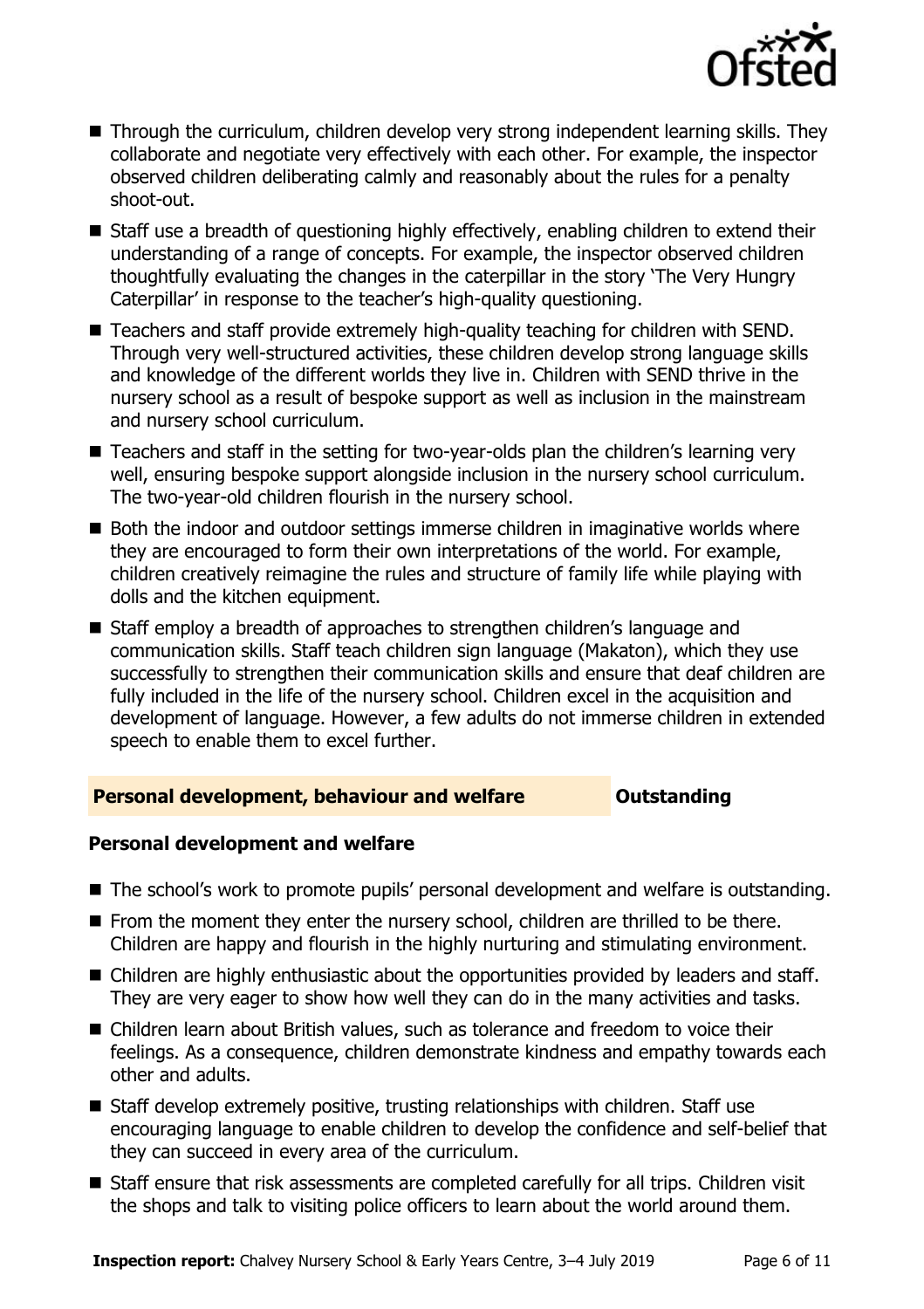

- Through the curriculum, children develop very strong independent learning skills. They collaborate and negotiate very effectively with each other. For example, the inspector observed children deliberating calmly and reasonably about the rules for a penalty shoot-out.
- Staff use a breadth of questioning highly effectively, enabling children to extend their understanding of a range of concepts. For example, the inspector observed children thoughtfully evaluating the changes in the caterpillar in the story 'The Very Hungry Caterpillar' in response to the teacher's high-quality questioning.
- Teachers and staff provide extremely high-quality teaching for children with SEND. Through very well-structured activities, these children develop strong language skills and knowledge of the different worlds they live in. Children with SEND thrive in the nursery school as a result of bespoke support as well as inclusion in the mainstream and nursery school curriculum.
- Teachers and staff in the setting for two-year-olds plan the children's learning very well, ensuring bespoke support alongside inclusion in the nursery school curriculum. The two-year-old children flourish in the nursery school.
- Both the indoor and outdoor settings immerse children in imaginative worlds where they are encouraged to form their own interpretations of the world. For example, children creatively reimagine the rules and structure of family life while playing with dolls and the kitchen equipment.
- Staff employ a breadth of approaches to strengthen children's language and communication skills. Staff teach children sign language (Makaton), which they use successfully to strengthen their communication skills and ensure that deaf children are fully included in the life of the nursery school. Children excel in the acquisition and development of language. However, a few adults do not immerse children in extended speech to enable them to excel further.

### **Personal development, behaviour and welfare <b>COU COULDER** Outstanding

### **Personal development and welfare**

- The school's work to promote pupils' personal development and welfare is outstanding.
- $\blacksquare$  From the moment they enter the nursery school, children are thrilled to be there. Children are happy and flourish in the highly nurturing and stimulating environment.
- Children are highly enthusiastic about the opportunities provided by leaders and staff. They are very eager to show how well they can do in the many activities and tasks.
- Children learn about British values, such as tolerance and freedom to voice their feelings. As a consequence, children demonstrate kindness and empathy towards each other and adults.
- Staff develop extremely positive, trusting relationships with children. Staff use encouraging language to enable children to develop the confidence and self-belief that they can succeed in every area of the curriculum.
- Staff ensure that risk assessments are completed carefully for all trips. Children visit the shops and talk to visiting police officers to learn about the world around them.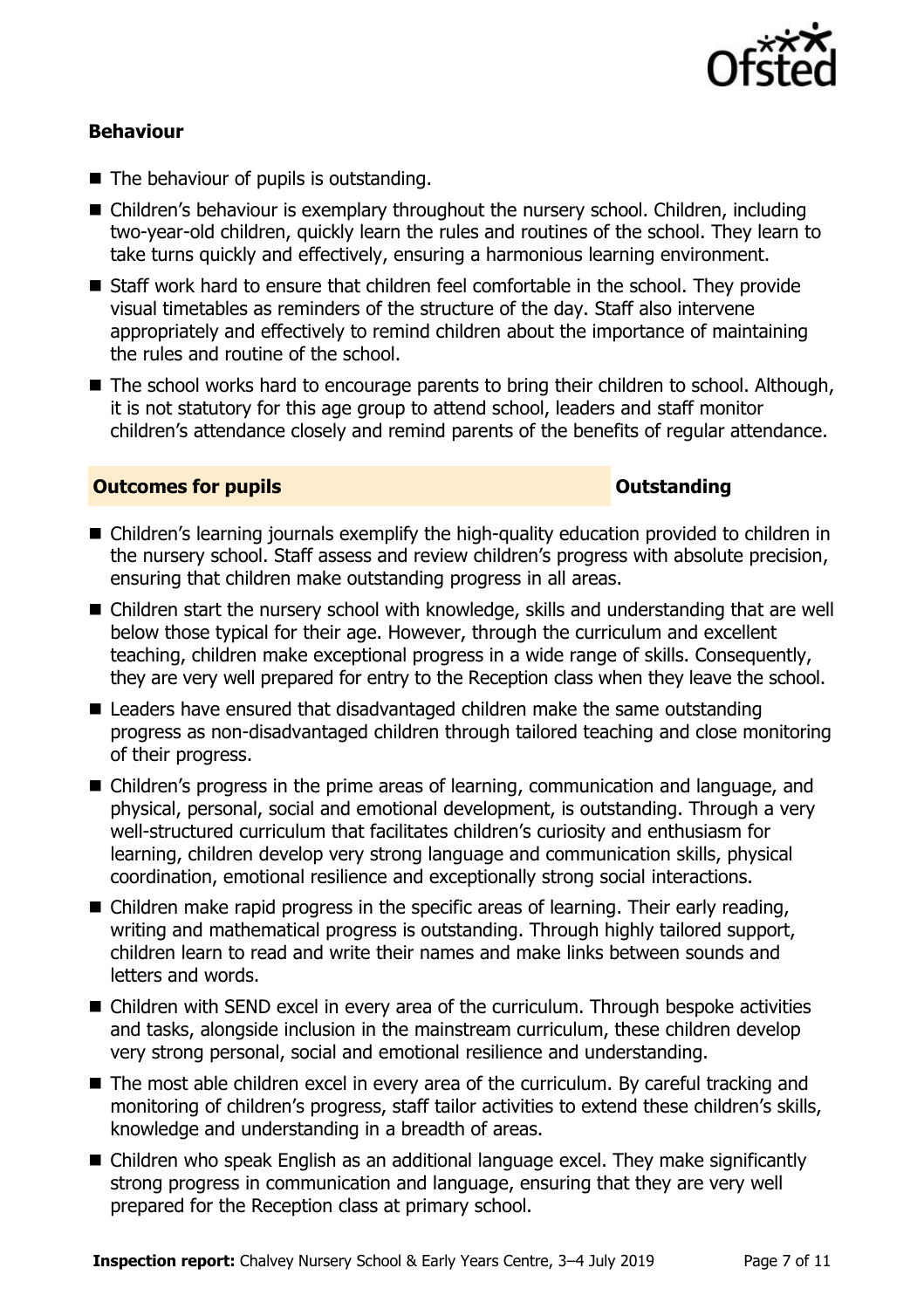

### **Behaviour**

- The behaviour of pupils is outstanding.
- Children's behaviour is exemplary throughout the nursery school. Children, including two-year-old children, quickly learn the rules and routines of the school. They learn to take turns quickly and effectively, ensuring a harmonious learning environment.
- Staff work hard to ensure that children feel comfortable in the school. They provide visual timetables as reminders of the structure of the day. Staff also intervene appropriately and effectively to remind children about the importance of maintaining the rules and routine of the school.
- The school works hard to encourage parents to bring their children to school. Although, it is not statutory for this age group to attend school, leaders and staff monitor children's attendance closely and remind parents of the benefits of regular attendance.

### **Outcomes for pupils Outstanding**

- Children's learning journals exemplify the high-quality education provided to children in the nursery school. Staff assess and review children's progress with absolute precision, ensuring that children make outstanding progress in all areas.
- Children start the nursery school with knowledge, skills and understanding that are well below those typical for their age. However, through the curriculum and excellent teaching, children make exceptional progress in a wide range of skills. Consequently, they are very well prepared for entry to the Reception class when they leave the school.
- Leaders have ensured that disadvantaged children make the same outstanding progress as non-disadvantaged children through tailored teaching and close monitoring of their progress.
- Children's progress in the prime areas of learning, communication and language, and physical, personal, social and emotional development, is outstanding. Through a very well-structured curriculum that facilitates children's curiosity and enthusiasm for learning, children develop very strong language and communication skills, physical coordination, emotional resilience and exceptionally strong social interactions.
- Children make rapid progress in the specific areas of learning. Their early reading, writing and mathematical progress is outstanding. Through highly tailored support, children learn to read and write their names and make links between sounds and letters and words.
- Children with SEND excel in every area of the curriculum. Through bespoke activities and tasks, alongside inclusion in the mainstream curriculum, these children develop very strong personal, social and emotional resilience and understanding.
- The most able children excel in every area of the curriculum. By careful tracking and monitoring of children's progress, staff tailor activities to extend these children's skills, knowledge and understanding in a breadth of areas.
- Children who speak English as an additional language excel. They make significantly strong progress in communication and language, ensuring that they are very well prepared for the Reception class at primary school.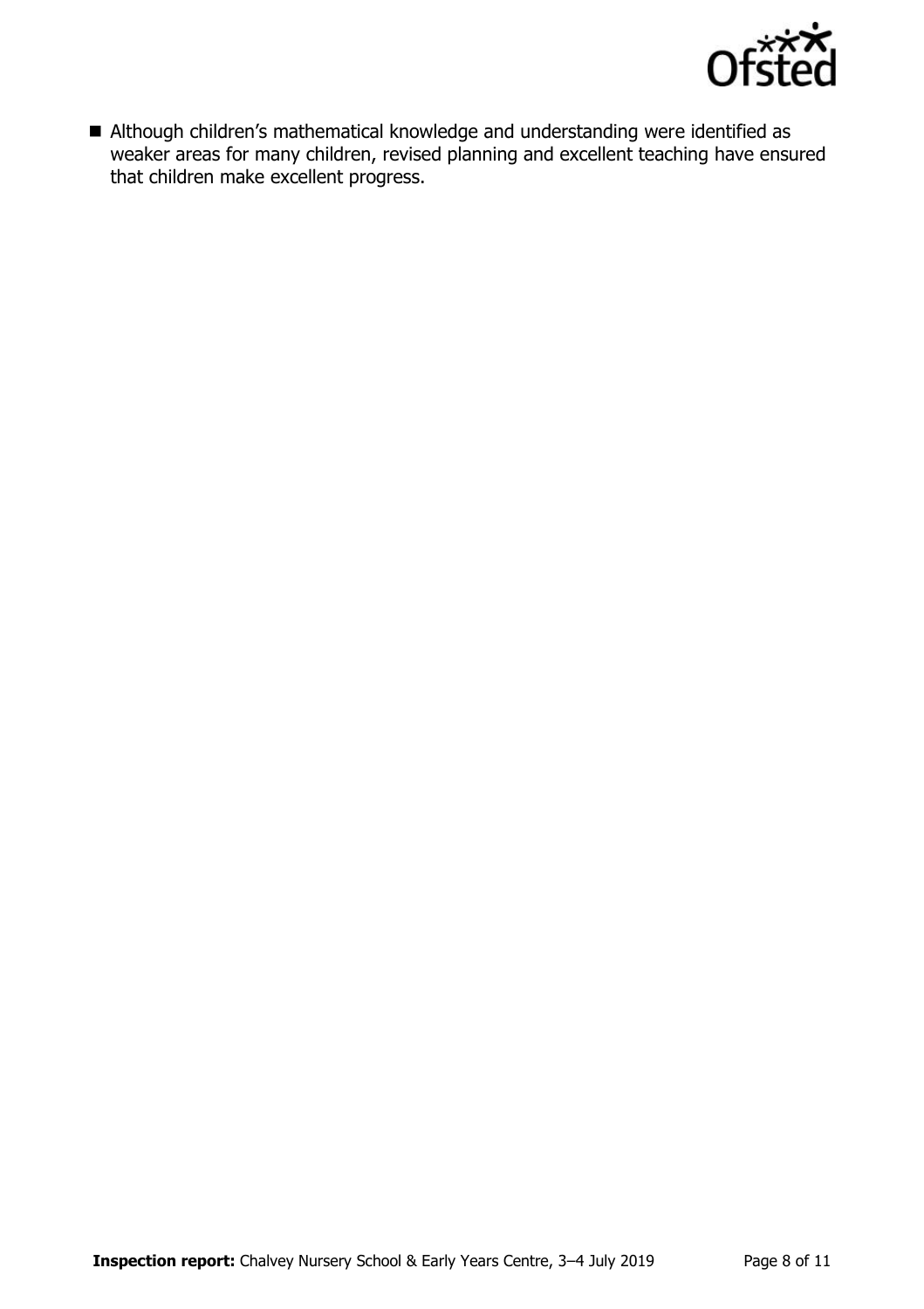

 Although children's mathematical knowledge and understanding were identified as weaker areas for many children, revised planning and excellent teaching have ensured that children make excellent progress.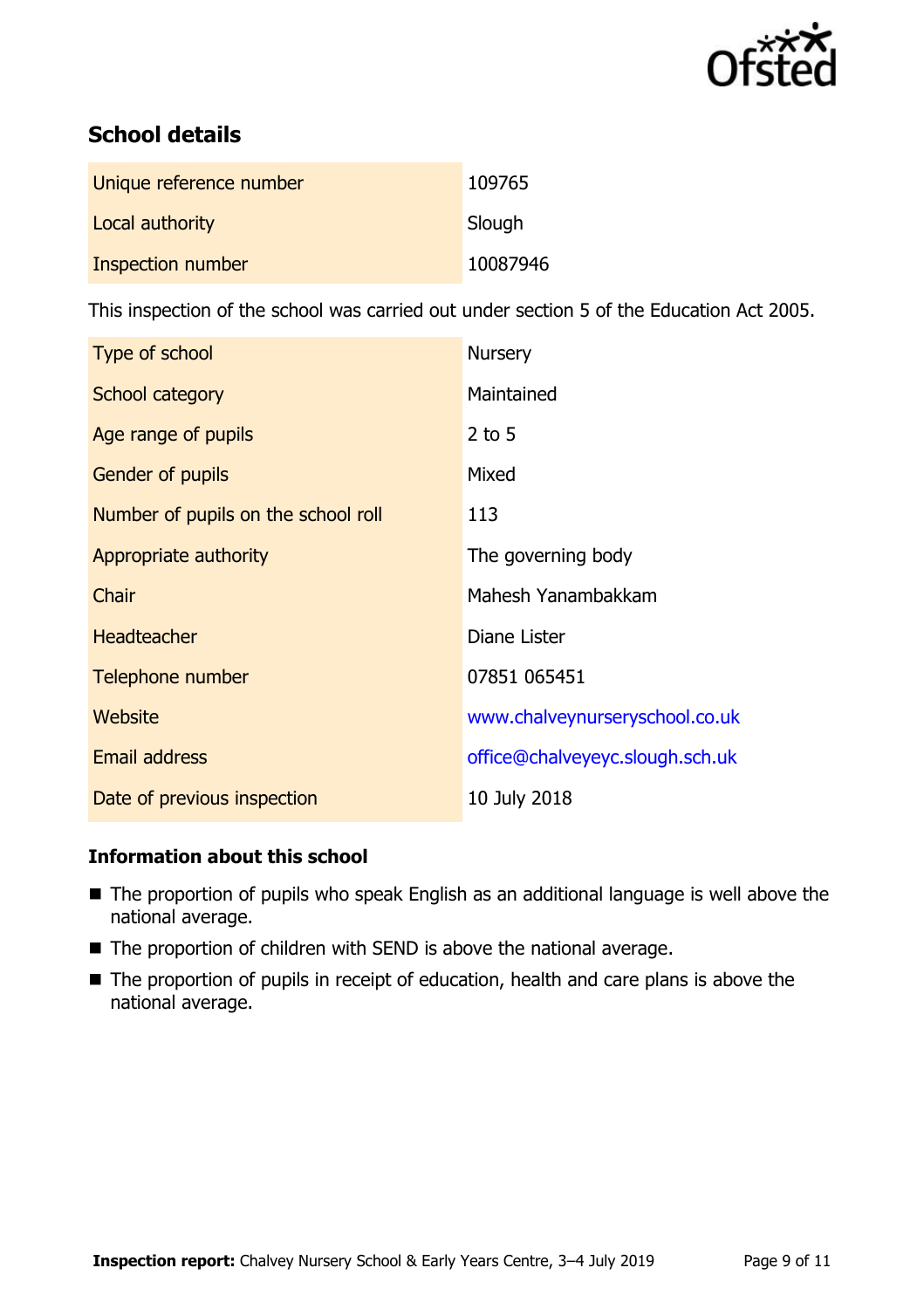

# **School details**

| Unique reference number | 109765   |
|-------------------------|----------|
| Local authority         | Slough   |
| Inspection number       | 10087946 |

This inspection of the school was carried out under section 5 of the Education Act 2005.

| Type of school                      | <b>Nursery</b>                  |
|-------------------------------------|---------------------------------|
| School category                     | Maintained                      |
| Age range of pupils                 | $2$ to 5                        |
| <b>Gender of pupils</b>             | Mixed                           |
| Number of pupils on the school roll | 113                             |
| Appropriate authority               | The governing body              |
| Chair                               | Mahesh Yanambakkam              |
| <b>Headteacher</b>                  | Diane Lister                    |
| Telephone number                    | 07851 065451                    |
| Website                             | www.chalveynurseryschool.co.uk  |
| <b>Email address</b>                | office@chalveyeyc.slough.sch.uk |
| Date of previous inspection         | 10 July 2018                    |

### **Information about this school**

- The proportion of pupils who speak English as an additional language is well above the national average.
- The proportion of children with SEND is above the national average.
- The proportion of pupils in receipt of education, health and care plans is above the national average.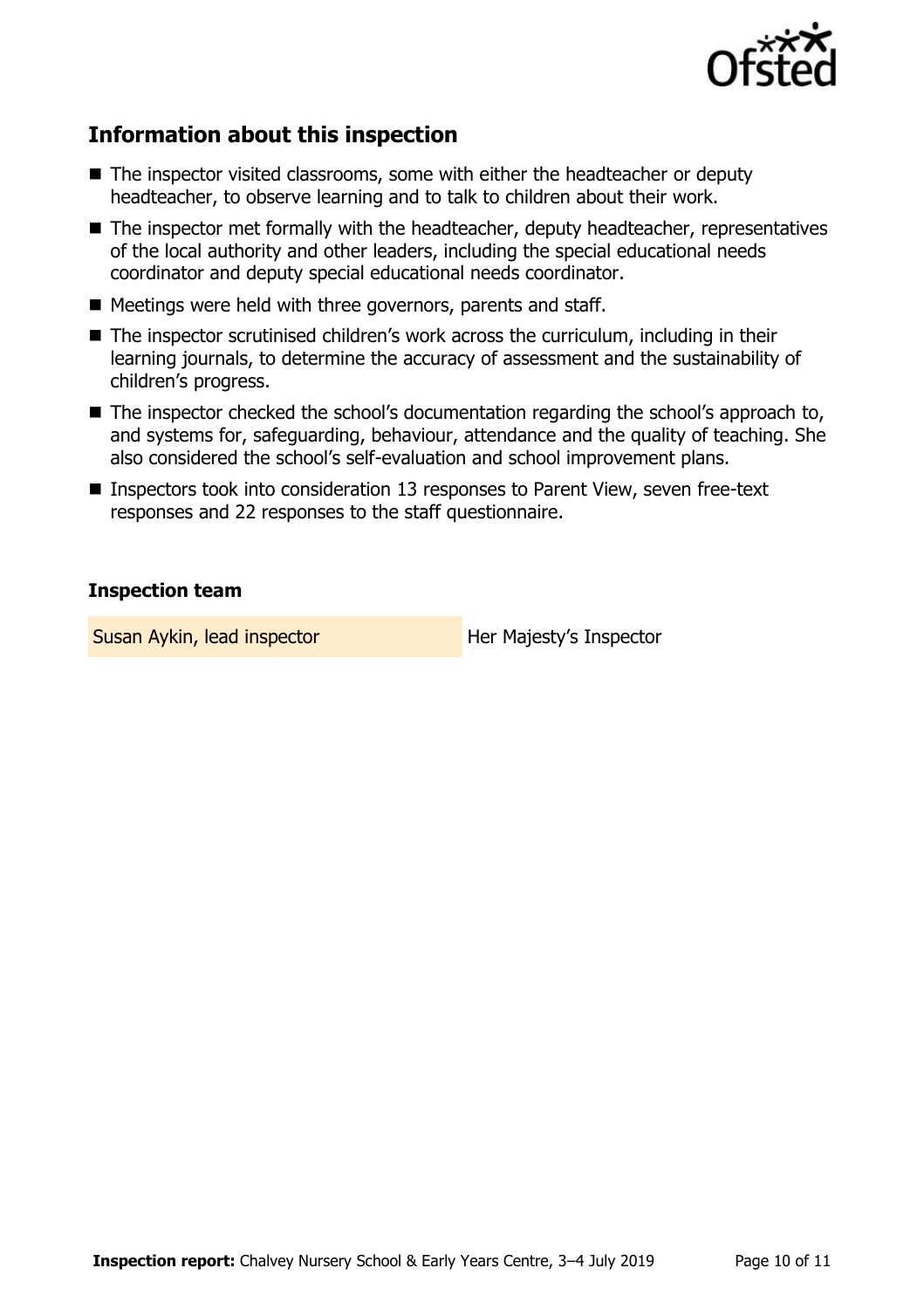

# **Information about this inspection**

- The inspector visited classrooms, some with either the headteacher or deputy headteacher, to observe learning and to talk to children about their work.
- The inspector met formally with the headteacher, deputy headteacher, representatives of the local authority and other leaders, including the special educational needs coordinator and deputy special educational needs coordinator.
- Meetings were held with three governors, parents and staff.
- The inspector scrutinised children's work across the curriculum, including in their learning journals, to determine the accuracy of assessment and the sustainability of children's progress.
- The inspector checked the school's documentation regarding the school's approach to, and systems for, safeguarding, behaviour, attendance and the quality of teaching. She also considered the school's self-evaluation and school improvement plans.
- Inspectors took into consideration 13 responses to Parent View, seven free-text responses and 22 responses to the staff questionnaire.

### **Inspection team**

Susan Aykin, lead inspector **Her Majesty's Inspector**